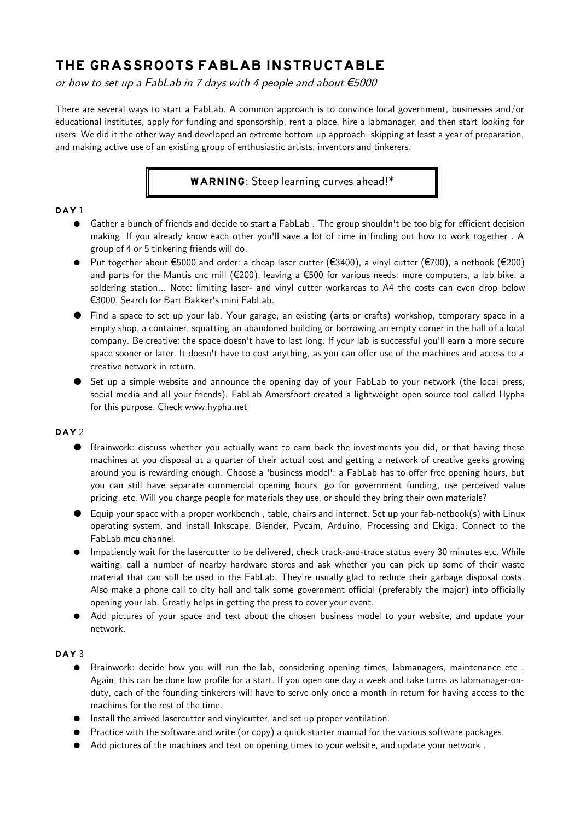# **THE GRASSROOTS FABLAB INSTRUCTABLE**

or how to set up a FabLab in 7 days with 4 people and about  $\epsilon$ 5000

There are several ways to start a FabLab. A common approach is to convince local government, businesses and/or educational institutes, apply for funding and sponsorship, rent a place, hire a labmanager, and then start looking for users. We did it the other way and developed an extreme bottom up approach, skipping at least a year of preparation, and making active use of an existing group of enthusiastic artists, inventors and tinkerers.

# **WARNING**: Steep learning curves ahead!\*

## **DAY 1**

- Gather a bunch of friends and decide to start a FabLab. The group shouldn't be too big for efficient decision making. If you already know each other you'll save a lot of time in finding out how to work together . A group of 4 or 5 tinkering friends will do.
- $\bullet$  Put together about €5000 and order: a cheap laser cutter (€3400), a vinyl cutter (€700), a netbook (€200) and parts for the Mantis cnc mill (€200), leaving a €500 for various needs: more computers, a lab bike, a soldering station... Note: limiting laser- and vinyl cutter workareas to A4 the costs can even drop below €3000. Search for Bart Bakker's mini FabLab.
- Find a space to set up your lab. Your garage, an existing (arts or crafts) workshop, temporary space in a empty shop, a container, squatting an abandoned building or borrowing an empty corner in the hall of a local company. Be creative: the space doesn't have to last long. If your lab is successful you'll earn a more secure space sooner or later. It doesn't have to cost anything, as you can offer use of the machines and access to a creative network in return.
- Set up a simple website and announce the opening day of your FabLab to your network (the local press, social media and all your friends). FabLab Amersfoort created a lightweight open source tool called Hypha for this purpose. Check www.hypha.net

# **DAY 2**

- Brainwork: discuss whether you actually want to earn back the investments you did, or that having these machines at you disposal at a quarter of their actual cost and getting a network of creative geeks growing around you is rewarding enough. Choose a 'business model': a FabLab has to offer free opening hours, but you can still have separate commercial opening hours, go for government funding, use perceived value pricing, etc. Will you charge people for materials they use, or should they bring their own materials?
- $\bullet$  Equip your space with a proper workbench, table, chairs and internet. Set up your fab-netbook(s) with Linux operating system, and install Inkscape, Blender, Pycam, Arduino, Processing and Ekiga. Connect to the FabLab mcu channel.
- Impatiently wait for the lasercutter to be delivered, check track-and-trace status every 30 minutes etc. While waiting, call a number of nearby hardware stores and ask whether you can pick up some of their waste material that can still be used in the FabLab. They're usually glad to reduce their garbage disposal costs. Also make a phone call to city hall and talk some government official (preferably the major) into officially opening your lab. Greatly helps in getting the press to cover your event.
- Add pictures of your space and text about the chosen business model to your website, and update your network.

#### **DAY 3**

- Brainwork: decide how you will run the lab, considering opening times, labmanagers, maintenance etc. Again, this can be done low profile for a start. If you open one day a week and take turns as labmanager-onduty, each of the founding tinkerers will have to serve only once a month in return for having access to the machines for the rest of the time.
- Install the arrived lasercutter and vinylcutter, and set up proper ventilation.
- Practice with the software and write (or copy) a quick starter manual for the various software packages.
- Add pictures of the machines and text on opening times to your website, and update your network .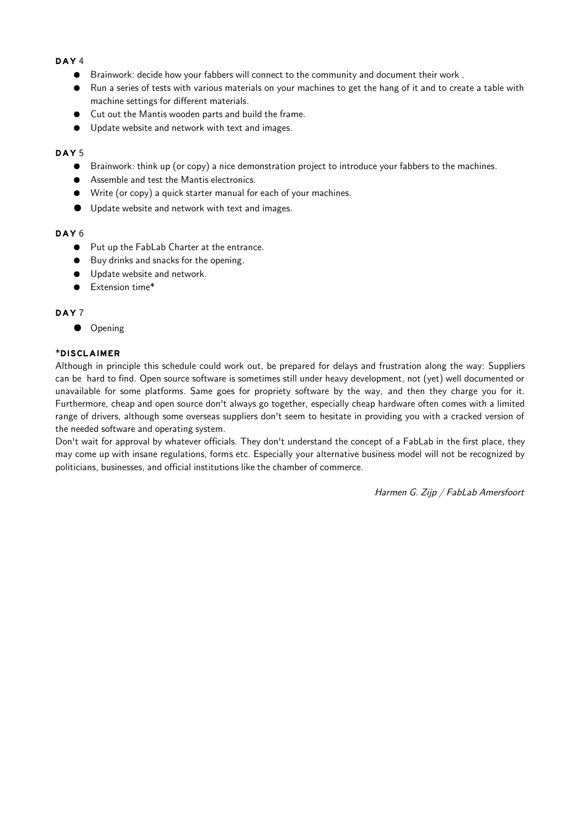#### **DAY 4**

- Brainwork: decide how your fabbers will connect to the community and document their work .
- Run a series of tests with various materials on your machines to get the hang of it and to create a table with machine settings for different materials.
- Cut out the Mantis wooden parts and build the frame.
- Update website and network with text and images.

#### **DAY 5**

- Brainwork: think up (or copy) a nice demonstration project to introduce your fabbers to the machines.
- Assemble and test the Mantis electronics.
- Write (or copy) a quick starter manual for each of your machines.
- Update website and network with text and images.

#### **DAY 6**

- Put up the FabLab Charter at the entrance.
- Buy drinks and snacks for the opening.
- Update website and network.
- Extension time\*

#### **DAY 7**

● Opening

#### **\*DISCLAIMER**

Although in principle this schedule could work out, be prepared for delays and frustration along the way: Suppliers can be hard to find. Open source software is sometimes still under heavy development, not (yet) well documented or unavailable for some platforms. Same goes for propriety software by the way, and then they charge you for it. Furthermore, cheap and open source don't always go together, especially cheap hardware often comes with a limited range of drivers, although some overseas suppliers don't seem to hesitate in providing you with a cracked version of the needed software and operating system.

Don't wait for approval by whatever officials. They don't understand the concept of a FabLab in the first place, they may come up with insane regulations, forms etc. Especially your alternative business model will not be recognized by politicians, businesses, and official institutions like the chamber of commerce.

Harmen G. Zijp / FabLab Amersfoort